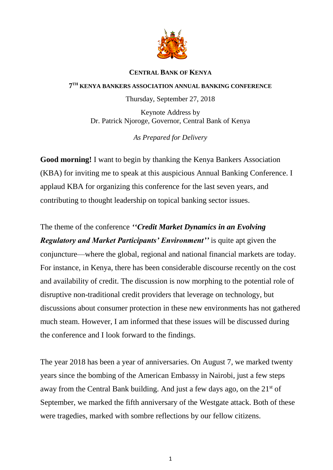

## **CENTRAL BANK OF KENYA**

## **7 TH KENYA BANKERS ASSOCIATION ANNUAL BANKING CONFERENCE**

Thursday, September 27, 2018

Keynote Address by Dr. Patrick Njoroge, Governor, Central Bank of Kenya

*As Prepared for Delivery*

**Good morning!** I want to begin by thanking the Kenya Bankers Association (KBA) for inviting me to speak at this auspicious Annual Banking Conference. I applaud KBA for organizing this conference for the last seven years, and contributing to thought leadership on topical banking sector issues.

The theme of the conference *''Credit Market Dynamics in an Evolving Regulatory and Market Participants' Environment''* is quite apt given the conjuncture—where the global, regional and national financial markets are today. For instance, in Kenya, there has been considerable discourse recently on the cost and availability of credit. The discussion is now morphing to the potential role of disruptive non-traditional credit providers that leverage on technology, but discussions about consumer protection in these new environments has not gathered much steam. However, I am informed that these issues will be discussed during the conference and I look forward to the findings.

The year 2018 has been a year of anniversaries. On August 7, we marked twenty years since the bombing of the American Embassy in Nairobi, just a few steps away from the Central Bank building. And just a few days ago, on the 21st of September, we marked the fifth anniversary of the Westgate attack. Both of these were tragedies, marked with sombre reflections by our fellow citizens.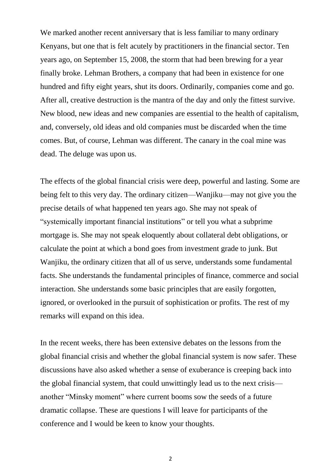We marked another recent anniversary that is less familiar to many ordinary Kenyans, but one that is felt acutely by practitioners in the financial sector. Ten years ago, on September 15, 2008, the storm that had been brewing for a year finally broke. Lehman Brothers, a company that had been in existence for one hundred and fifty eight years, shut its doors. Ordinarily, companies come and go. After all, creative destruction is the mantra of the day and only the fittest survive. New blood, new ideas and new companies are essential to the health of capitalism, and, conversely, old ideas and old companies must be discarded when the time comes. But, of course, Lehman was different. The canary in the coal mine was dead. The deluge was upon us.

The effects of the global financial crisis were deep, powerful and lasting. Some are being felt to this very day. The ordinary citizen—Wanjiku—may not give you the precise details of what happened ten years ago. She may not speak of "systemically important financial institutions" or tell you what a subprime mortgage is. She may not speak eloquently about collateral debt obligations, or calculate the point at which a bond goes from investment grade to junk. But Wanjiku, the ordinary citizen that all of us serve, understands some fundamental facts. She understands the fundamental principles of finance, commerce and social interaction. She understands some basic principles that are easily forgotten, ignored, or overlooked in the pursuit of sophistication or profits. The rest of my remarks will expand on this idea.

In the recent weeks, there has been extensive debates on the lessons from the global financial crisis and whether the global financial system is now safer. These discussions have also asked whether a sense of exuberance is creeping back into the global financial system, that could unwittingly lead us to the next crisis another "Minsky moment" where current booms sow the seeds of a future dramatic collapse. These are questions I will leave for participants of the conference and I would be keen to know your thoughts.

2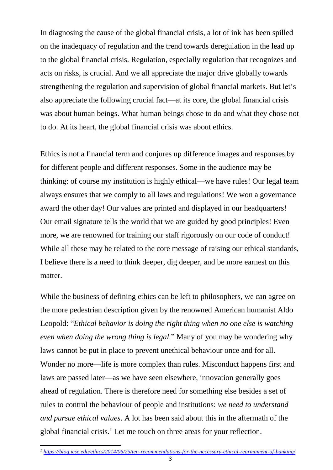In diagnosing the cause of the global financial crisis, a lot of ink has been spilled on the inadequacy of regulation and the trend towards deregulation in the lead up to the global financial crisis. Regulation, especially regulation that recognizes and acts on risks, is crucial. And we all appreciate the major drive globally towards strengthening the regulation and supervision of global financial markets. But let's also appreciate the following crucial fact—at its core, the global financial crisis was about human beings. What human beings chose to do and what they chose not to do. At its heart, the global financial crisis was about ethics.

Ethics is not a financial term and conjures up difference images and responses by for different people and different responses. Some in the audience may be thinking: of course my institution is highly ethical—we have rules! Our legal team always ensures that we comply to all laws and regulations! We won a governance award the other day! Our values are printed and displayed in our headquarters! Our email signature tells the world that we are guided by good principles! Even more, we are renowned for training our staff rigorously on our code of conduct! While all these may be related to the core message of raising our ethical standards, I believe there is a need to think deeper, dig deeper, and be more earnest on this matter.

While the business of defining ethics can be left to philosophers, we can agree on the more pedestrian description given by the renowned American humanist Aldo Leopold: "*Ethical behavior is doing the right thing when no one else is watching even when doing the wrong thing is legal.*" Many of you may be wondering why laws cannot be put in place to prevent unethical behaviour once and for all. Wonder no more—life is more complex than rules. Misconduct happens first and laws are passed later—as we have seen elsewhere, innovation generally goes ahead of regulation. There is therefore need for something else besides a set of rules to control the behaviour of people and institutions: *we need to understand and pursue ethical values*. A lot has been said about this in the aftermath of the global financial crisis.<sup>1</sup> Let me touch on three areas for your reflection.

<sup>1</sup> *<sup>1</sup> <https://blog.iese.edu/ethics/2014/06/25/ten-recommendations-for-the-necessary-ethical-rearmament-of-banking/>*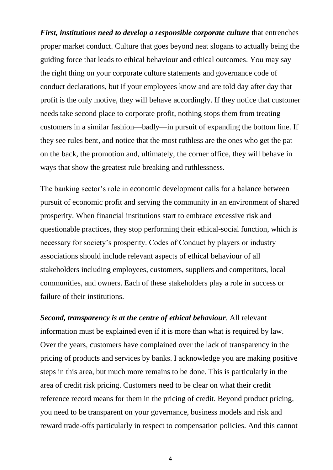*First, institutions need to develop a responsible corporate culture* that entrenches proper market conduct. Culture that goes beyond neat slogans to actually being the guiding force that leads to ethical behaviour and ethical outcomes. You may say the right thing on your corporate culture statements and governance code of conduct declarations, but if your employees know and are told day after day that profit is the only motive, they will behave accordingly. If they notice that customer needs take second place to corporate profit, nothing stops them from treating customers in a similar fashion—badly—in pursuit of expanding the bottom line. If they see rules bent, and notice that the most ruthless are the ones who get the pat on the back, the promotion and, ultimately, the corner office, they will behave in ways that show the greatest rule breaking and ruthlessness.

The banking sector's role in economic development calls for a balance between pursuit of economic profit and serving the community in an environment of shared prosperity. When financial institutions start to embrace excessive risk and questionable practices, they stop performing their ethical-social function, which is necessary for society's prosperity. Codes of Conduct by players or industry associations should include relevant aspects of ethical behaviour of all stakeholders including employees, customers, suppliers and competitors, local communities, and owners. Each of these stakeholders play a role in success or failure of their institutions.

*Second, transparency is at the centre of ethical behaviour*. All relevant information must be explained even if it is more than what is required by law. Over the years, customers have complained over the lack of transparency in the pricing of products and services by banks. I acknowledge you are making positive steps in this area, but much more remains to be done. This is particularly in the area of credit risk pricing. Customers need to be clear on what their credit reference record means for them in the pricing of credit. Beyond product pricing, you need to be transparent on your governance, business models and risk and reward trade-offs particularly in respect to compensation policies. And this cannot

4

 $\overline{a}$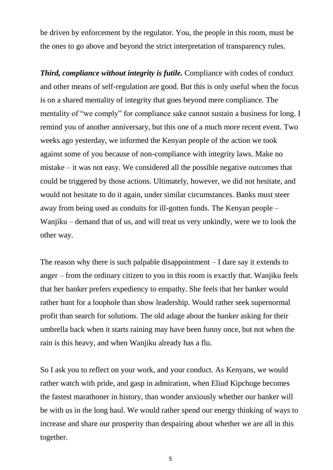be driven by enforcement by the regulator. You, the people in this room, must be the ones to go above and beyond the strict interpretation of transparency rules.

*Third, compliance without integrity is futile.* Compliance with codes of conduct and other means of self-regulation are good. But this is only useful when the focus is on a shared mentality of integrity that goes beyond mere compliance. The mentality of "we comply" for compliance sake cannot sustain a business for long. I remind you of another anniversary, but this one of a much more recent event. Two weeks ago yesterday, we informed the Kenyan people of the action we took against some of you because of non-compliance with integrity laws. Make no mistake – it was not easy. We considered all the possible negative outcomes that could be triggered by those actions. Ultimately, however, we did not hesitate, and would not hesitate to do it again, under similar circumstances. Banks must steer away from being used as conduits for ill-gotten funds. The Kenyan people – Wanjiku – demand that of us, and will treat us very unkindly, were we to look the other way.

The reason why there is such palpable disappointment – I dare say it extends to anger – from the ordinary citizen to you in this room is exactly that. Wanjiku feels that her banker prefers expediency to empathy. She feels that her banker would rather hunt for a loophole than show leadership. Would rather seek supernormal profit than search for solutions. The old adage about the banker asking for their umbrella back when it starts raining may have been funny once, but not when the rain is this heavy, and when Wanjiku already has a flu.

So I ask you to reflect on your work, and your conduct. As Kenyans, we would rather watch with pride, and gasp in admiration, when Eliud Kipchoge becomes the fastest marathoner in history, than wonder anxiously whether our banker will be with us in the long haul. We would rather spend our energy thinking of ways to increase and share our prosperity than despairing about whether we are all in this together.